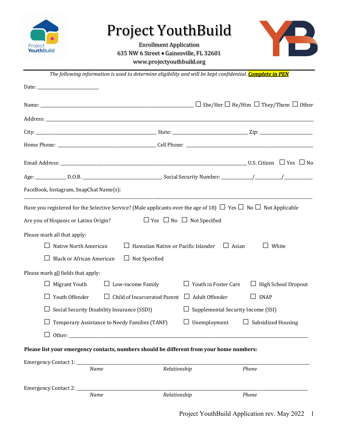

## Project YouthBuild

**Enrollment Application** 635 NW 6 Street . Gainesville, FL 32601 www.projectyouthbuild.org



*The following information is used to determine eligibility and will be kept confidential. Complete in PEN* 

| FaceBook, Instagram, SnapChat Name(s):                                                                                                                                                                                                                                                      |                                            |                                                           |                                    |
|---------------------------------------------------------------------------------------------------------------------------------------------------------------------------------------------------------------------------------------------------------------------------------------------|--------------------------------------------|-----------------------------------------------------------|------------------------------------|
| Have you registered for the Selective Service? (Male applicants over the age of 18) $\Box$ Yes $\Box$ No $\Box$ Not Applicable<br>Are you of Hispanic or Latinx Origin?<br>Please mark all that apply:<br>Native North American<br><b>Black or African American</b><br>$\Box$ Not Specified | $\Box$ Hawaiian Native or Pacific Islander | $\Box$ Yes $\Box$ No $\Box$ Not Specified<br>$\Box$ Asian | White                              |
| Please mark all fields that apply:                                                                                                                                                                                                                                                          |                                            |                                                           |                                    |
| $\Box$ Migrant Youth<br>$\Box$ Low-income Family<br>Youth Offender                                                                                                                                                                                                                          | Child of Incarcerated Parent $\Box$        | $\Box$ Youth in Foster Care<br>Adult Offender             | $\Box$ High School Dropout<br>SNAP |
| $\Box$                                                                                                                                                                                                                                                                                      |                                            |                                                           |                                    |
| Social Security Disability Insurance (SSDI)                                                                                                                                                                                                                                                 |                                            | Supplemental Security Income (SSI)                        |                                    |
| Temporary Assistance to Needy Families (TANF)                                                                                                                                                                                                                                               |                                            | Unemployment                                              | $\Box$ Subsidized Housing          |
|                                                                                                                                                                                                                                                                                             |                                            |                                                           |                                    |
| Please list your emergency contacts, numbers should be different from your home numbers:                                                                                                                                                                                                    |                                            |                                                           |                                    |
| Emergency Contact 1: __________<br>Name                                                                                                                                                                                                                                                     | Relationship                               |                                                           | Phone                              |
| Emergency Contact 2: _________<br>Name                                                                                                                                                                                                                                                      | Relationship                               |                                                           | Phone                              |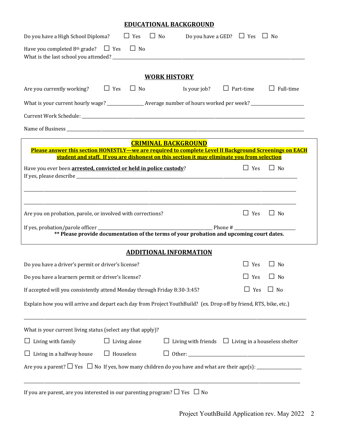## **EDUCATIONAL BACKGROUND**

| Do you have a High School Diploma? $\Box$ Yes $\Box$ No Do you have a GED? $\Box$ Yes $\Box$ No                                                                                                       |                                                                 |  |  |  |  |
|-------------------------------------------------------------------------------------------------------------------------------------------------------------------------------------------------------|-----------------------------------------------------------------|--|--|--|--|
| Have you completed 8 <sup>th</sup> grade? $\Box$ Yes $\Box$ No                                                                                                                                        |                                                                 |  |  |  |  |
| <b>WORK HISTORY</b>                                                                                                                                                                                   |                                                                 |  |  |  |  |
| $\Box$ No $\Box$ Is your job? $\Box$ Part-time $\Box$ Full-time<br>$\Box$ Yes<br>Are you currently working?                                                                                           |                                                                 |  |  |  |  |
| What is your current hourly wage? _________________ Average number of hours worked per week? _________________                                                                                        |                                                                 |  |  |  |  |
|                                                                                                                                                                                                       |                                                                 |  |  |  |  |
|                                                                                                                                                                                                       |                                                                 |  |  |  |  |
| <b>CRIMINAL BACKGROUND</b>                                                                                                                                                                            |                                                                 |  |  |  |  |
| Please answer this section HONESTLY—we are required to complete Level II Background Screenings on EACH<br>student and staff. If you are dishonest on this section it may eliminate you from selection |                                                                 |  |  |  |  |
| Have you ever been arrested, convicted or held in police custody?                                                                                                                                     | $\Box$ Yes<br>$\Box$ No                                         |  |  |  |  |
| ,我们也不能在这里的时候,我们也不能在这里的时候,我们也不能会在这里的时候,我们也不能会在这里的时候,我们也不能会在这里的时候,我们也不能会在这里的时候,我们也不                                                                                                                     |                                                                 |  |  |  |  |
| Are you on probation, parole, or involved with corrections?                                                                                                                                           | $\Box$ Yes<br>$\Box$ No                                         |  |  |  |  |
|                                                                                                                                                                                                       |                                                                 |  |  |  |  |
| <b>ADDITIONAL INFORMATION</b>                                                                                                                                                                         |                                                                 |  |  |  |  |
| Do you have a driver's permit or driver's license?                                                                                                                                                    | $\Box$ Yes<br>$\Box$ No                                         |  |  |  |  |
| Do you have a learners permit or driver's license?                                                                                                                                                    | $\Box$ Yes $\Box$ No                                            |  |  |  |  |
| If accepted will you consistently attend Monday through Friday 8:30-3:45?                                                                                                                             | $\Box$ Yes<br>$\Box$ No                                         |  |  |  |  |
| Explain how you will arrive and depart each day from Project YouthBuild? (ex. Drop off by friend, RTS, bike, etc.)                                                                                    |                                                                 |  |  |  |  |
| What is your current living status (select any that apply)?                                                                                                                                           |                                                                 |  |  |  |  |
| $\Box$ Living with family<br>$\Box$ Living alone                                                                                                                                                      | $\Box$ Living with friends $\Box$ Living in a houseless shelter |  |  |  |  |
| $\Box$ Living in a halfway house<br>$\Box$ Houseless                                                                                                                                                  |                                                                 |  |  |  |  |
|                                                                                                                                                                                                       |                                                                 |  |  |  |  |
| If you are parent, are you interested in our parenting program? $\Box$ Yes $\Box$ No                                                                                                                  |                                                                 |  |  |  |  |